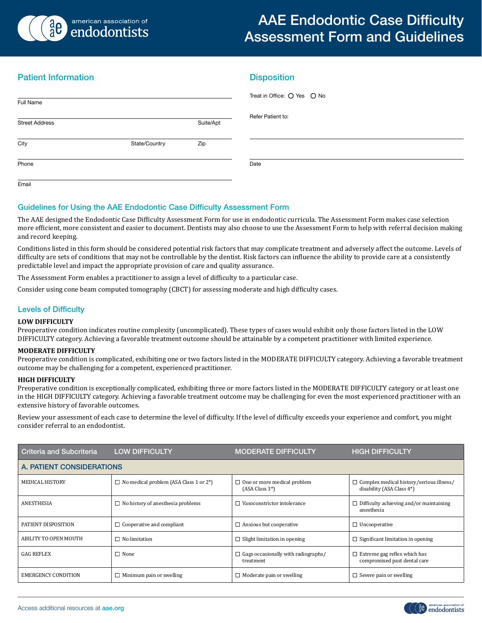

# AAE Endodontic Case Difficulty Assessment Form and Guidelines

# Patient Information

| Full Name             |               |           | Treat in Office: O Yes O No |
|-----------------------|---------------|-----------|-----------------------------|
| <b>Street Address</b> |               | Suite/Apt | Refer Patient to:           |
| City                  | State/Country | Zip       |                             |
| Phone                 |               |           | Date                        |
| Fmail                 |               |           |                             |

**Disposition** 

# Guidelines for Using the AAE Endodontic Case Difficulty Assessment Form

The AAE designed the Endodontic Case Difficulty Assessment Form for use in endodontic curricula. The Assessment Form makes case selection more efficient, more consistent and easier to document. Dentists may also choose to use the Assessment Form to help with referral decision making and record keeping.

Conditions listed in this form should be considered potential risk factors that may complicate treatment and adversely affect the outcome. Levels of difficulty are sets of conditions that may not be controllable by the dentist. Risk factors can influence the ability to provide care at a consistently predictable level and impact the appropriate provision of care and quality assurance.

The Assessment Form enables a practitioner to assign a level of difficulty to a particular case.

Consider using cone beam computed tomography (CBCT) for assessing moderate and high difficulty cases.

# Levels of Difficulty

#### **LOW DIFFICULTY**

Preoperative condition indicates routine complexity (uncomplicated). These types of cases would exhibit only those factors listed in the LOW DIFFICULTY category. Achieving a favorable treatment outcome should be attainable by a competent practitioner with limited experience.

#### **MODERATE DIFFICULTY**

Preoperative condition is complicated, exhibiting one or two factors listed in the MODERATE DIFFICULTY category. Achieving a favorable treatment outcome may be challenging for a competent, experienced practitioner.

#### **HIGH DIFFICULTY**

Preoperative condition is exceptionally complicated, exhibiting three or more factors listed in the MODERATE DIFFICULTY category or at least one in the HIGH DIFFICULTY category. Achieving a favorable treatment outcome may be challenging for even the most experienced practitioner with an extensive history of favorable outcomes.

Review your assessment of each case to determine the level of difficulty. If the level of difficulty exceeds your experience and comfort, you might consider referral to an endodontist.

| Criteria and Subcriteria     | <b>LOW DIFFICULTY</b>                                      | <b>MODERATE DIFFICULTY</b>                              | <b>HIGH DIFFICULTY</b>                                                       |  |  |  |  |
|------------------------------|------------------------------------------------------------|---------------------------------------------------------|------------------------------------------------------------------------------|--|--|--|--|
| A. PATIENT CONSIDERATIONS    |                                                            |                                                         |                                                                              |  |  |  |  |
| <b>MEDICAL HISTORY</b>       | $\Box$ No medical problem (ASA Class 1 or 2 <sup>*</sup> ) | $\Box$ One or more medical problem<br>(ASA Class 3*)    | $\Box$ Complex medical history/serious illness/<br>disability (ASA Class 4*) |  |  |  |  |
| ANESTHESIA                   | $\Box$ No history of anesthesia problems                   | Vasoconstrictor intolerance                             | $\Box$ Difficulty achieving and/or maintaining<br>anesthesia                 |  |  |  |  |
| PATIENT DISPOSITION          | $\Box$ Cooperative and compliant                           | $\Box$ Anxious but cooperative                          | $\Box$ Uncooperative                                                         |  |  |  |  |
| <b>ABILITY TO OPEN MOUTH</b> | $\sqcap$ No limitation                                     | $\Box$ Slight limitation in opening                     | $\Box$ Significant limitation in opening                                     |  |  |  |  |
| <b>GAG REFLEX</b>            | $\Box$ None                                                | $\Box$ Gags occasionally with radiographs/<br>treatment | Extreme gag reflex which has<br>compromised past dental care                 |  |  |  |  |
| <b>EMERGENCY CONDITION</b>   | $\Box$ Minimum pain or swelling                            | $\Box$ Moderate pain or swelling                        | $\Box$ Severe pain or swelling                                               |  |  |  |  |